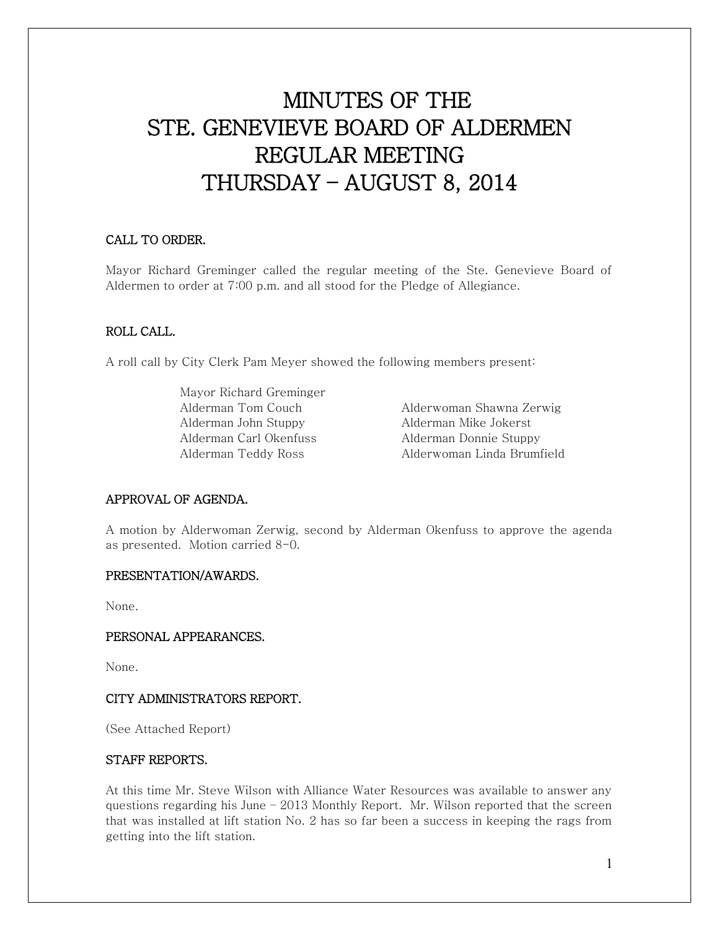# MINUTES OF THE STE. GENEVIEVE BOARD OF ALDERMEN REGULAR MEETING THURSDAY – AUGUST 8, 2014

# CALL TO ORDER.

Mayor Richard Greminger called the regular meeting of the Ste. Genevieve Board of Aldermen to order at 7:00 p.m. and all stood for the Pledge of Allegiance.

# ROLL CALL.

A roll call by City Clerk Pam Meyer showed the following members present:

 Mayor Richard Greminger Alderman John Stuppy Alderman Mike Jokerst Alderman Carl Okenfuss Alderman Donnie Stuppy

 Alderman Tom Couch Alderwoman Shawna Zerwig Alderman Teddy Ross Alderwoman Linda Brumfield

## APPROVAL OF AGENDA.

A motion by Alderwoman Zerwig, second by Alderman Okenfuss to approve the agenda as presented. Motion carried 8-0.

#### PRESENTATION/AWARDS.

None.

#### PERSONAL APPEARANCES.

None.

## CITY ADMINISTRATORS REPORT.

(See Attached Report)

## STAFF REPORTS.

At this time Mr. Steve Wilson with Alliance Water Resources was available to answer any questions regarding his June  $-2013$  Monthly Report. Mr. Wilson reported that the screen that was installed at lift station No. 2 has so far been a success in keeping the rags from getting into the lift station.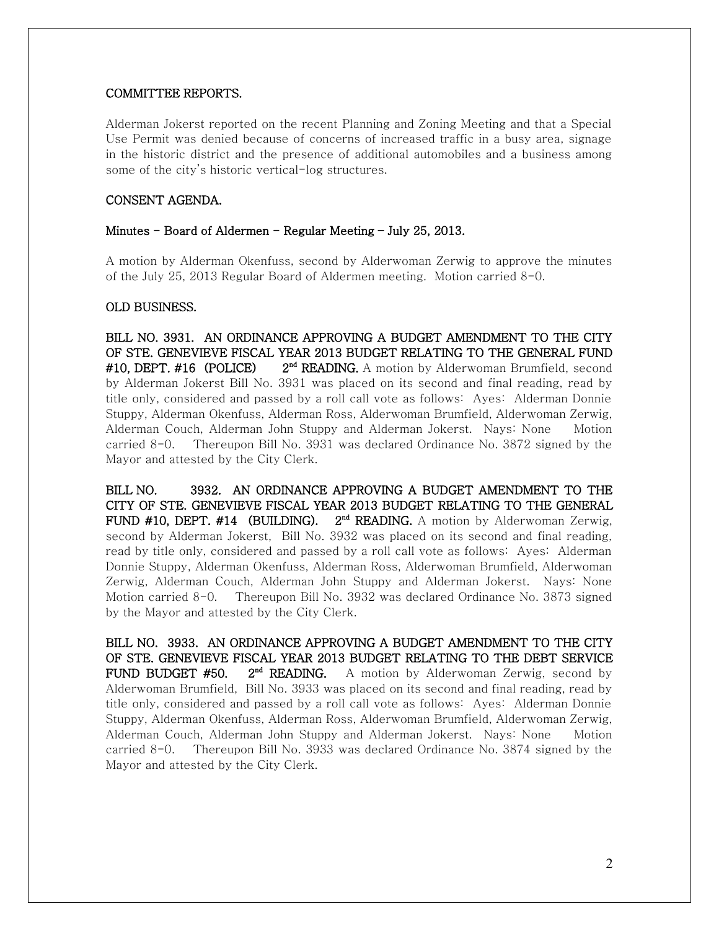## COMMITTEE REPORTS.

Alderman Jokerst reported on the recent Planning and Zoning Meeting and that a Special Use Permit was denied because of concerns of increased traffic in a busy area, signage in the historic district and the presence of additional automobiles and a business among some of the city's historic vertical-log structures.

## CONSENT AGENDA.

### Minutes – Board of Aldermen – Regular Meeting – July 25, 2013.

A motion by Alderman Okenfuss, second by Alderwoman Zerwig to approve the minutes of the July 25, 2013 Regular Board of Aldermen meeting. Motion carried 8-0.

### OLD BUSINESS.

BILL NO. 3931. AN ORDINANCE APPROVING A BUDGET AMENDMENT TO THE CITY OF STE. GENEVIEVE FISCAL YEAR 2013 BUDGET RELATING TO THE GENERAL FUND #10, DEPT. #16 (POLICE) 2<sup>nd</sup> READING. A motion by Alderwoman Brumfield, second by Alderman Jokerst Bill No. 3931 was placed on its second and final reading, read by title only, considered and passed by a roll call vote as follows: Ayes: Alderman Donnie Stuppy, Alderman Okenfuss, Alderman Ross, Alderwoman Brumfield, Alderwoman Zerwig, Alderman Couch, Alderman John Stuppy and Alderman Jokerst. Nays: None Motion carried 8-0. Thereupon Bill No. 3931 was declared Ordinance No. 3872 signed by the Mayor and attested by the City Clerk.

BILL NO. 3932. AN ORDINANCE APPROVING A BUDGET AMENDMENT TO THE CITY OF STE. GENEVIEVE FISCAL YEAR 2013 BUDGET RELATING TO THE GENERAL FUND #10, DEPT. #14 (BUILDING).  $2<sup>nd</sup>$  READING. A motion by Alderwoman Zerwig, second by Alderman Jokerst, Bill No. 3932 was placed on its second and final reading, read by title only, considered and passed by a roll call vote as follows: Ayes: Alderman Donnie Stuppy, Alderman Okenfuss, Alderman Ross, Alderwoman Brumfield, Alderwoman Zerwig, Alderman Couch, Alderman John Stuppy and Alderman Jokerst. Nays: None Motion carried 8-0. Thereupon Bill No. 3932 was declared Ordinance No. 3873 signed by the Mayor and attested by the City Clerk.

BILL NO. 3933. AN ORDINANCE APPROVING A BUDGET AMENDMENT TO THE CITY OF STE. GENEVIEVE FISCAL YEAR 2013 BUDGET RELATING TO THE DEBT SERVICE **FUND BUDGET #50.**  $2^{nd}$  **READING.** A motion by Alderwoman Zerwig, second by Alderwoman Brumfield, Bill No. 3933 was placed on its second and final reading, read by title only, considered and passed by a roll call vote as follows: Ayes: Alderman Donnie Stuppy, Alderman Okenfuss, Alderman Ross, Alderwoman Brumfield, Alderwoman Zerwig, Alderman Couch, Alderman John Stuppy and Alderman Jokerst. Nays: None Motion carried 8-0. Thereupon Bill No. 3933 was declared Ordinance No. 3874 signed by the Mayor and attested by the City Clerk.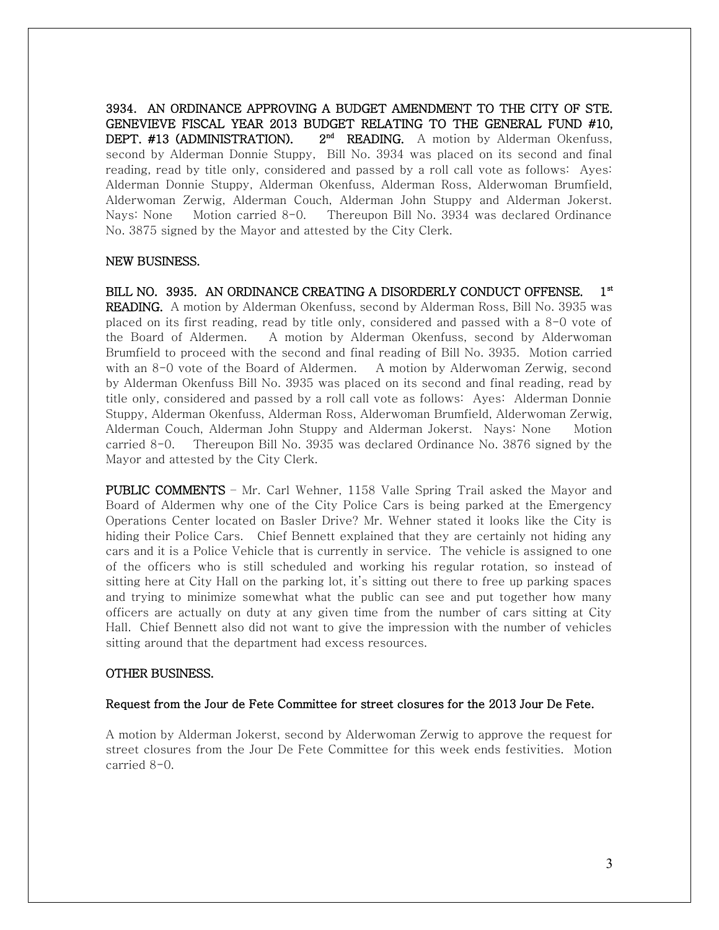3934. AN ORDINANCE APPROVING A BUDGET AMENDMENT TO THE CITY OF STE. GENEVIEVE FISCAL YEAR 2013 BUDGET RELATING TO THE GENERAL FUND #10, DEPT. #13 (ADMINISTRATION). 2<sup>nd</sup> READING. A motion by Alderman Okenfuss, second by Alderman Donnie Stuppy, Bill No. 3934 was placed on its second and final reading, read by title only, considered and passed by a roll call vote as follows: Ayes: Alderman Donnie Stuppy, Alderman Okenfuss, Alderman Ross, Alderwoman Brumfield, Alderwoman Zerwig, Alderman Couch, Alderman John Stuppy and Alderman Jokerst. Nays: None Motion carried 8-0. Thereupon Bill No. 3934 was declared Ordinance No. 3875 signed by the Mayor and attested by the City Clerk.

### NEW BUSINESS.

BILL NO. 3935. AN ORDINANCE CREATING A DISORDERLY CONDUCT OFFENSE. 1<sup>st</sup> READING. A motion by Alderman Okenfuss, second by Alderman Ross, Bill No. 3935 was placed on its first reading, read by title only, considered and passed with a 8-0 vote of the Board of Aldermen. A motion by Alderman Okenfuss, second by Alderwoman Brumfield to proceed with the second and final reading of Bill No. 3935. Motion carried with an 8-0 vote of the Board of Aldermen. A motion by Alderwoman Zerwig, second by Alderman Okenfuss Bill No. 3935 was placed on its second and final reading, read by title only, considered and passed by a roll call vote as follows: Ayes: Alderman Donnie Stuppy, Alderman Okenfuss, Alderman Ross, Alderwoman Brumfield, Alderwoman Zerwig, Alderman Couch, Alderman John Stuppy and Alderman Jokerst. Nays: None Motion carried 8-0. Thereupon Bill No. 3935 was declared Ordinance No. 3876 signed by the Mayor and attested by the City Clerk.

PUBLIC COMMENTS - Mr. Carl Wehner, 1158 Valle Spring Trail asked the Mayor and Board of Aldermen why one of the City Police Cars is being parked at the Emergency Operations Center located on Basler Drive? Mr. Wehner stated it looks like the City is hiding their Police Cars. Chief Bennett explained that they are certainly not hiding any cars and it is a Police Vehicle that is currently in service. The vehicle is assigned to one of the officers who is still scheduled and working his regular rotation, so instead of sitting here at City Hall on the parking lot, it's sitting out there to free up parking spaces and trying to minimize somewhat what the public can see and put together how many officers are actually on duty at any given time from the number of cars sitting at City Hall. Chief Bennett also did not want to give the impression with the number of vehicles sitting around that the department had excess resources.

#### OTHER BUSINESS.

#### Request from the Jour de Fete Committee for street closures for the 2013 Jour De Fete.

A motion by Alderman Jokerst, second by Alderwoman Zerwig to approve the request for street closures from the Jour De Fete Committee for this week ends festivities. Motion carried 8-0.